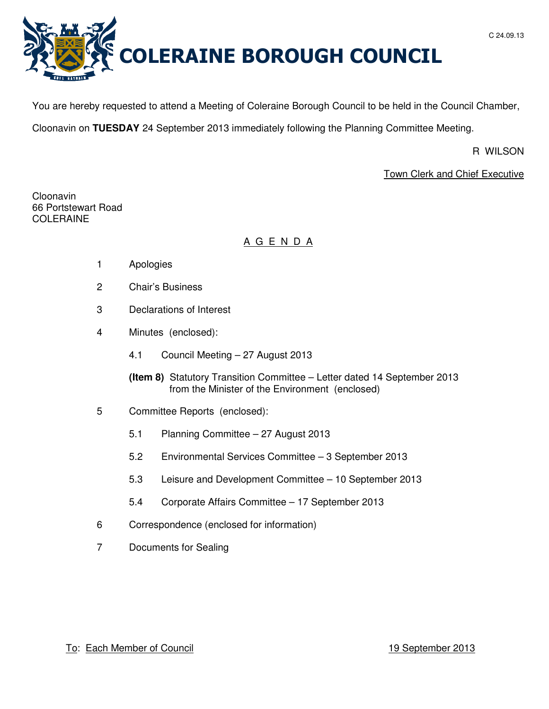



You are hereby requested to attend a Meeting of Coleraine Borough Council to be held in the Council Chamber,

Cloonavin on **TUESDAY** 24 September 2013 immediately following the Planning Committee Meeting.

R WILSON

# Town Clerk and Chief Executive

Cloonavin 66 Portstewart Road COLERAINE

# A G E N D A

- 1 Apologies
- 2 Chair's Business
- 3 Declarations of Interest
- 4 Minutes (enclosed):
	- 4.1 Council Meeting 27 August 2013
	- **(Item 8)** Statutory Transition Committee Letter dated 14 September 2013 from the Minister of the Environment (enclosed)
- 5 Committee Reports (enclosed):
	- 5.1 Planning Committee 27 August 2013
	- 5.2 Environmental Services Committee 3 September 2013
	- 5.3 Leisure and Development Committee 10 September 2013
	- 5.4 Corporate Affairs Committee 17 September 2013
- 6 Correspondence (enclosed for information)
- 7 Documents for Sealing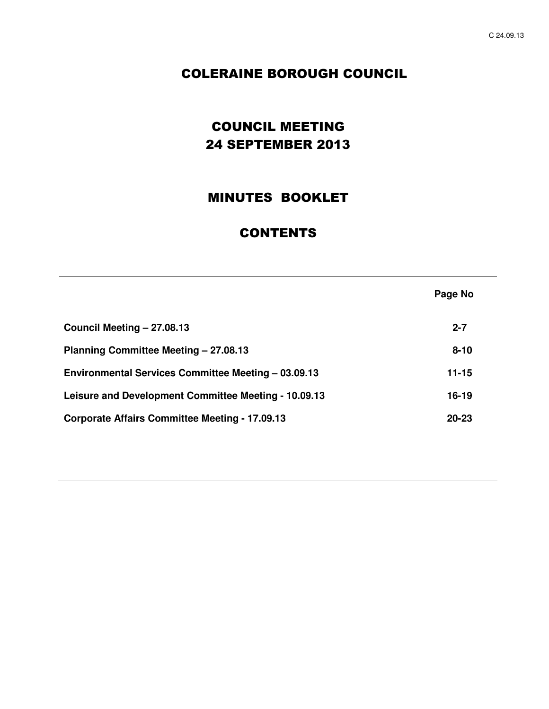**Page No** 

# COLERAINE BOROUGH COUNCIL

# COUNCIL MEETING 24 SEPTEMBER 2013

# MINUTES BOOKLET

# **CONTENTS**

**Council Meeting – 27.08.13 2-7 Planning Committee Meeting – 27.08.13** 8-10 Environmental Services Committee Meeting - 03.09.13 **11-15** Leisure and Development Committee Meeting - 10.09.13 **16-19 Corporate Affairs Committee Meeting - 17.09.13 20-23**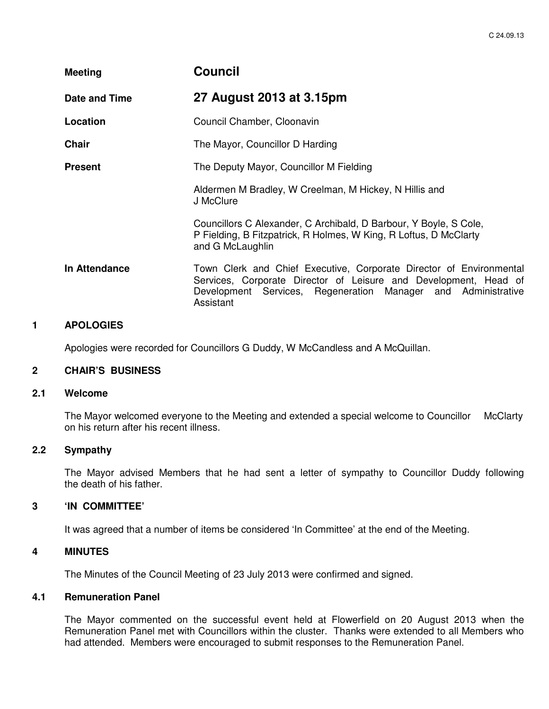| <b>Meeting</b> | <b>Council</b>                                                                                                                                                                                                        |
|----------------|-----------------------------------------------------------------------------------------------------------------------------------------------------------------------------------------------------------------------|
| Date and Time  | 27 August 2013 at 3.15pm                                                                                                                                                                                              |
| Location       | Council Chamber, Cloonavin                                                                                                                                                                                            |
| <b>Chair</b>   | The Mayor, Councillor D Harding                                                                                                                                                                                       |
| <b>Present</b> | The Deputy Mayor, Councillor M Fielding                                                                                                                                                                               |
|                | Aldermen M Bradley, W Creelman, M Hickey, N Hillis and<br>J McClure                                                                                                                                                   |
|                | Councillors C Alexander, C Archibald, D Barbour, Y Boyle, S Cole,<br>P Fielding, B Fitzpatrick, R Holmes, W King, R Loftus, D McClarty<br>and G McLaughlin                                                            |
| In Attendance  | Town Clerk and Chief Executive, Corporate Director of Environmental<br>Services, Corporate Director of Leisure and Development, Head of<br>Development Services, Regeneration Manager and Administrative<br>Assistant |

## **1 APOLOGIES**

Apologies were recorded for Councillors G Duddy, W McCandless and A McQuillan.

## **2 CHAIR'S BUSINESS**

#### **2.1 Welcome**

The Mayor welcomed everyone to the Meeting and extended a special welcome to Councillor McClarty on his return after his recent illness.

# **2.2 Sympathy**

 The Mayor advised Members that he had sent a letter of sympathy to Councillor Duddy following the death of his father.

#### **3 'IN COMMITTEE'**

It was agreed that a number of items be considered 'In Committee' at the end of the Meeting.

## **4 MINUTES**

The Minutes of the Council Meeting of 23 July 2013 were confirmed and signed.

#### **4.1 Remuneration Panel**

The Mayor commented on the successful event held at Flowerfield on 20 August 2013 when the Remuneration Panel met with Councillors within the cluster. Thanks were extended to all Members who had attended. Members were encouraged to submit responses to the Remuneration Panel.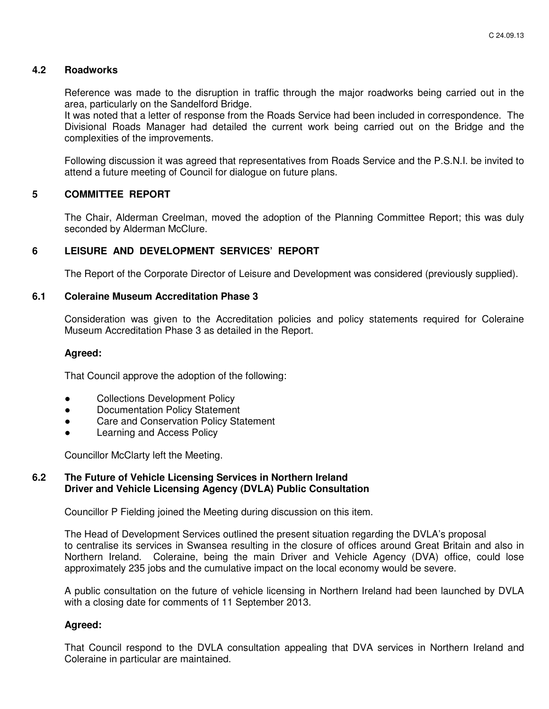## **4.2 Roadworks**

 Reference was made to the disruption in traffic through the major roadworks being carried out in the area, particularly on the Sandelford Bridge.

 It was noted that a letter of response from the Roads Service had been included in correspondence. The Divisional Roads Manager had detailed the current work being carried out on the Bridge and the complexities of the improvements.

 Following discussion it was agreed that representatives from Roads Service and the P.S.N.I. be invited to attend a future meeting of Council for dialogue on future plans.

## **5 COMMITTEE REPORT**

 The Chair, Alderman Creelman, moved the adoption of the Planning Committee Report; this was duly seconded by Alderman McClure.

## **6 LEISURE AND DEVELOPMENT SERVICES' REPORT**

The Report of the Corporate Director of Leisure and Development was considered (previously supplied).

#### **6.1 Coleraine Museum Accreditation Phase 3**

Consideration was given to the Accreditation policies and policy statements required for Coleraine Museum Accreditation Phase 3 as detailed in the Report.

### **Agreed:**

That Council approve the adoption of the following:

- Collections Development Policy
- Documentation Policy Statement
- Care and Conservation Policy Statement
- **Learning and Access Policy**

Councillor McClarty left the Meeting.

#### **6.2 The Future of Vehicle Licensing Services in Northern Ireland Driver and Vehicle Licensing Agency (DVLA) Public Consultation**

Councillor P Fielding joined the Meeting during discussion on this item.

The Head of Development Services outlined the present situation regarding the DVLA's proposal to centralise its services in Swansea resulting in the closure of offices around Great Britain and also in Northern Ireland. Coleraine, being the main Driver and Vehicle Agency (DVA) office, could lose approximately 235 jobs and the cumulative impact on the local economy would be severe.

 A public consultation on the future of vehicle licensing in Northern Ireland had been launched by DVLA with a closing date for comments of 11 September 2013.

#### **Agreed:**

That Council respond to the DVLA consultation appealing that DVA services in Northern Ireland and Coleraine in particular are maintained.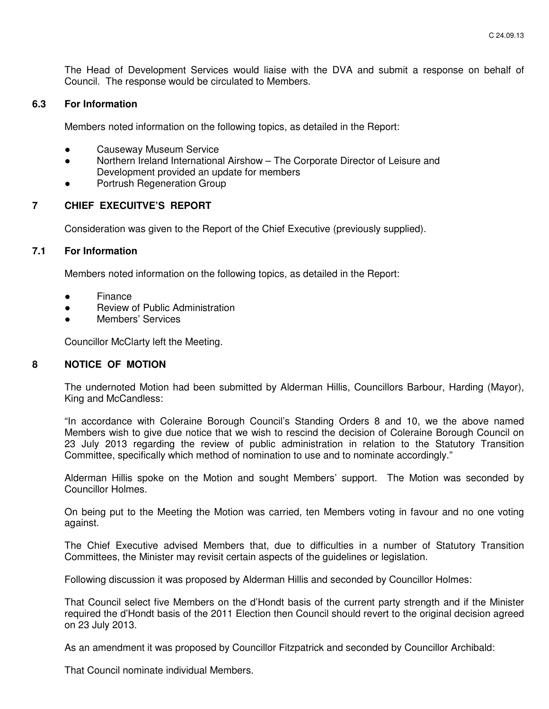The Head of Development Services would liaise with the DVA and submit a response on behalf of Council. The response would be circulated to Members.

## **6.3 For Information**

Members noted information on the following topics, as detailed in the Report:

- **Causeway Museum Service**
- Northern Ireland International Airshow The Corporate Director of Leisure and Development provided an update for members
- Portrush Regeneration Group

## **7 CHIEF EXECUITVE'S REPORT**

Consideration was given to the Report of the Chief Executive (previously supplied).

## **7.1 For Information**

Members noted information on the following topics, as detailed in the Report:

- **Finance**
- Review of Public Administration
- Members' Services

Councillor McClarty left the Meeting.

## **8 NOTICE OF MOTION**

 The undernoted Motion had been submitted by Alderman Hillis, Councillors Barbour, Harding (Mayor), King and McCandless:

 "In accordance with Coleraine Borough Council's Standing Orders 8 and 10, we the above named Members wish to give due notice that we wish to rescind the decision of Coleraine Borough Council on 23 July 2013 regarding the review of public administration in relation to the Statutory Transition Committee, specifically which method of nomination to use and to nominate accordingly."

 Alderman Hillis spoke on the Motion and sought Members' support. The Motion was seconded by Councillor Holmes.

 On being put to the Meeting the Motion was carried, ten Members voting in favour and no one voting against.

 The Chief Executive advised Members that, due to difficulties in a number of Statutory Transition Committees, the Minister may revisit certain aspects of the guidelines or legislation.

Following discussion it was proposed by Alderman Hillis and seconded by Councillor Holmes:

 That Council select five Members on the d'Hondt basis of the current party strength and if the Minister required the d'Hondt basis of the 2011 Election then Council should revert to the original decision agreed on 23 July 2013.

As an amendment it was proposed by Councillor Fitzpatrick and seconded by Councillor Archibald:

That Council nominate individual Members.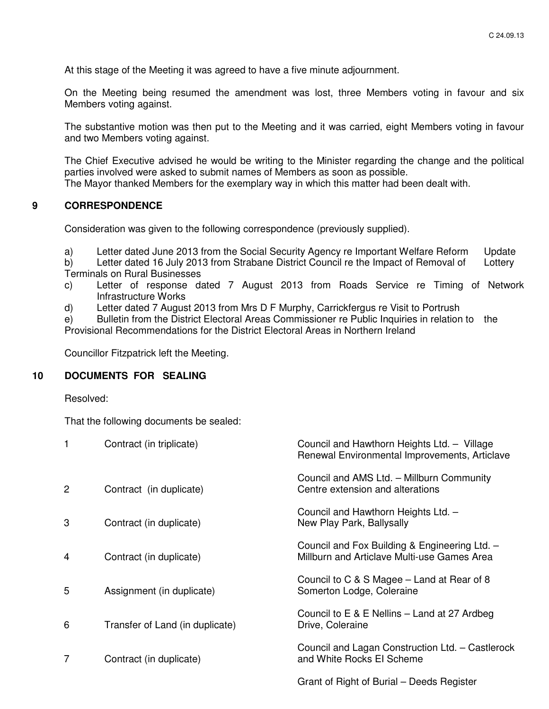At this stage of the Meeting it was agreed to have a five minute adjournment.

 On the Meeting being resumed the amendment was lost, three Members voting in favour and six Members voting against.

 The substantive motion was then put to the Meeting and it was carried, eight Members voting in favour and two Members voting against.

 The Chief Executive advised he would be writing to the Minister regarding the change and the political parties involved were asked to submit names of Members as soon as possible. The Mayor thanked Members for the exemplary way in which this matter had been dealt with.

## **9 CORRESPONDENCE**

Consideration was given to the following correspondence (previously supplied).

a) Letter dated June 2013 from the Social Security Agency re Important Welfare Reform Update

 b) Letter dated 16 July 2013 from Strabane District Council re the Impact of Removal of Lottery Terminals on Rural Businesses

- c) Letter of response dated 7 August 2013 from Roads Service re Timing of Network Infrastructure Works
- d) Letter dated 7 August 2013 from Mrs D F Murphy, Carrickfergus re Visit to Portrush

 e) Bulletin from the District Electoral Areas Commissioner re Public Inquiries in relation to the Provisional Recommendations for the District Electoral Areas in Northern Ireland

Councillor Fitzpatrick left the Meeting.

## **10 DOCUMENTS FOR SEALING**

Resolved:

That the following documents be sealed:

|                | Contract (in triplicate)        | Council and Hawthorn Heights Ltd. - Village<br>Renewal Environmental Improvements, Articlave |
|----------------|---------------------------------|----------------------------------------------------------------------------------------------|
| 2              | Contract (in duplicate)         | Council and AMS Ltd. - Millburn Community<br>Centre extension and alterations                |
| 3              | Contract (in duplicate)         | Council and Hawthorn Heights Ltd. -<br>New Play Park, Ballysally                             |
| $\overline{4}$ | Contract (in duplicate)         | Council and Fox Building & Engineering Ltd. -<br>Millburn and Articlave Multi-use Games Area |
| 5              | Assignment (in duplicate)       | Council to C & S Magee – Land at Rear of 8<br>Somerton Lodge, Coleraine                      |
| 6              | Transfer of Land (in duplicate) | Council to $E \& E$ Nellins – Land at 27 Ardbeg<br>Drive, Coleraine                          |
| 7              | Contract (in duplicate)         | Council and Lagan Construction Ltd. - Castlerock<br>and White Rocks EI Scheme                |
|                |                                 | Grant of Right of Burial – Deeds Register                                                    |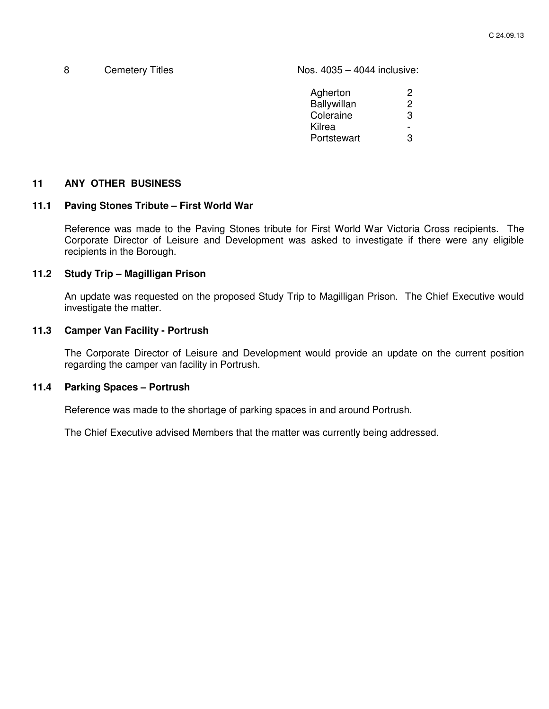8 Cemetery Titles **Nos.** 4035 – 4044 inclusive:

| Agherton    | ッ |
|-------------|---|
| Ballywillan | 2 |
| Coleraine   | З |
| Kilrea      |   |
| Portstewart | З |
|             |   |

## **11 ANY OTHER BUSINESS**

#### **11.1 Paving Stones Tribute – First World War**

Reference was made to the Paving Stones tribute for First World War Victoria Cross recipients. The Corporate Director of Leisure and Development was asked to investigate if there were any eligible recipients in the Borough.

#### **11.2 Study Trip – Magilligan Prison**

An update was requested on the proposed Study Trip to Magilligan Prison. The Chief Executive would investigate the matter.

## **11.3 Camper Van Facility - Portrush**

The Corporate Director of Leisure and Development would provide an update on the current position regarding the camper van facility in Portrush.

#### **11.4 Parking Spaces – Portrush**

Reference was made to the shortage of parking spaces in and around Portrush.

The Chief Executive advised Members that the matter was currently being addressed.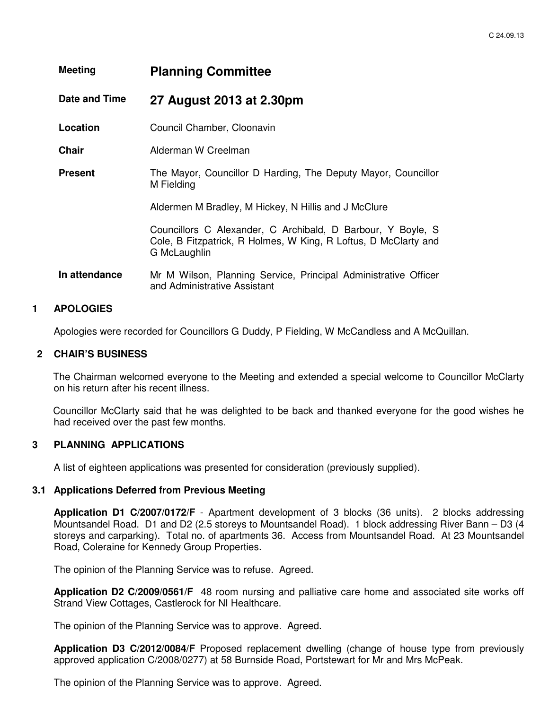| <b>Meeting</b> | <b>Planning Committee</b>                                                                                                                      |
|----------------|------------------------------------------------------------------------------------------------------------------------------------------------|
| Date and Time  | 27 August 2013 at 2.30pm                                                                                                                       |
| Location       | Council Chamber, Cloonavin                                                                                                                     |
| <b>Chair</b>   | Alderman W Creelman                                                                                                                            |
| <b>Present</b> | The Mayor, Councillor D Harding, The Deputy Mayor, Councillor<br>M Fielding                                                                    |
|                | Aldermen M Bradley, M Hickey, N Hillis and J McClure                                                                                           |
|                | Councillors C Alexander, C Archibald, D Barbour, Y Boyle, S<br>Cole, B Fitzpatrick, R Holmes, W King, R Loftus, D McClarty and<br>G McLaughlin |
| In attendance  | Mr M Wilson, Planning Service, Principal Administrative Officer<br>and Administrative Assistant                                                |

#### **1 APOLOGIES**

Apologies were recorded for Councillors G Duddy, P Fielding, W McCandless and A McQuillan.

#### **2 CHAIR'S BUSINESS**

The Chairman welcomed everyone to the Meeting and extended a special welcome to Councillor McClarty on his return after his recent illness.

Councillor McClarty said that he was delighted to be back and thanked everyone for the good wishes he had received over the past few months.

#### **3 PLANNING APPLICATIONS**

A list of eighteen applications was presented for consideration (previously supplied).

#### **3.1 Applications Deferred from Previous Meeting**

**Application D1 C/2007/0172/F** - Apartment development of 3 blocks (36 units). 2 blocks addressing Mountsandel Road. D1 and D2 (2.5 storeys to Mountsandel Road). 1 block addressing River Bann – D3 (4 storeys and carparking). Total no. of apartments 36. Access from Mountsandel Road. At 23 Mountsandel Road, Coleraine for Kennedy Group Properties.

The opinion of the Planning Service was to refuse. Agreed.

**Application D2 C/2009/0561/F** 48 room nursing and palliative care home and associated site works off Strand View Cottages, Castlerock for NI Healthcare.

The opinion of the Planning Service was to approve. Agreed.

**Application D3 C/2012/0084/F** Proposed replacement dwelling (change of house type from previously approved application C/2008/0277) at 58 Burnside Road, Portstewart for Mr and Mrs McPeak.

The opinion of the Planning Service was to approve. Agreed.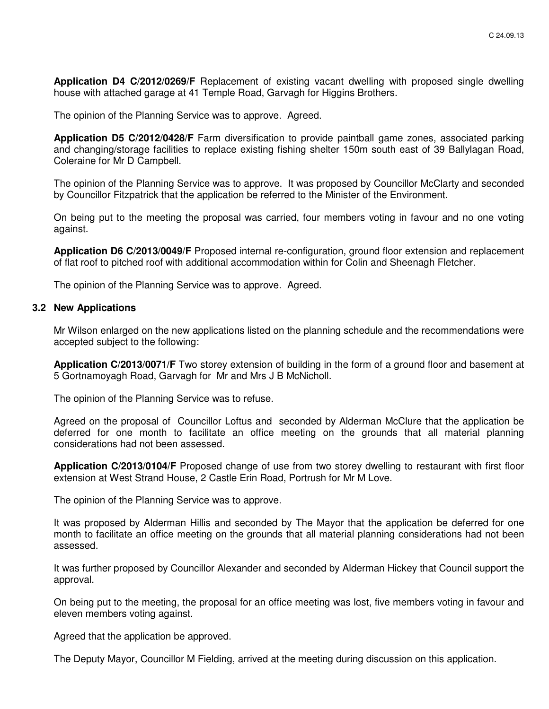**Application D4 C/2012/0269/F** Replacement of existing vacant dwelling with proposed single dwelling house with attached garage at 41 Temple Road, Garvagh for Higgins Brothers.

The opinion of the Planning Service was to approve. Agreed.

**Application D5 C/2012/0428/F** Farm diversification to provide paintball game zones, associated parking and changing/storage facilities to replace existing fishing shelter 150m south east of 39 Ballylagan Road, Coleraine for Mr D Campbell.

 The opinion of the Planning Service was to approve. It was proposed by Councillor McClarty and seconded by Councillor Fitzpatrick that the application be referred to the Minister of the Environment.

On being put to the meeting the proposal was carried, four members voting in favour and no one voting against.

**Application D6 C/2013/0049/F** Proposed internal re-configuration, ground floor extension and replacement of flat roof to pitched roof with additional accommodation within for Colin and Sheenagh Fletcher.

The opinion of the Planning Service was to approve. Agreed.

#### **3.2 New Applications**

Mr Wilson enlarged on the new applications listed on the planning schedule and the recommendations were accepted subject to the following:

**Application C/2013/0071/F** Two storey extension of building in the form of a ground floor and basement at 5 Gortnamoyagh Road, Garvagh for Mr and Mrs J B McNicholl.

The opinion of the Planning Service was to refuse.

Agreed on the proposal of Councillor Loftus and seconded by Alderman McClure that the application be deferred for one month to facilitate an office meeting on the grounds that all material planning considerations had not been assessed.

**Application C/2013/0104/F** Proposed change of use from two storey dwelling to restaurant with first floor extension at West Strand House, 2 Castle Erin Road, Portrush for Mr M Love.

The opinion of the Planning Service was to approve.

It was proposed by Alderman Hillis and seconded by The Mayor that the application be deferred for one month to facilitate an office meeting on the grounds that all material planning considerations had not been assessed.

It was further proposed by Councillor Alexander and seconded by Alderman Hickey that Council support the approval.

On being put to the meeting, the proposal for an office meeting was lost, five members voting in favour and eleven members voting against.

Agreed that the application be approved.

The Deputy Mayor, Councillor M Fielding, arrived at the meeting during discussion on this application.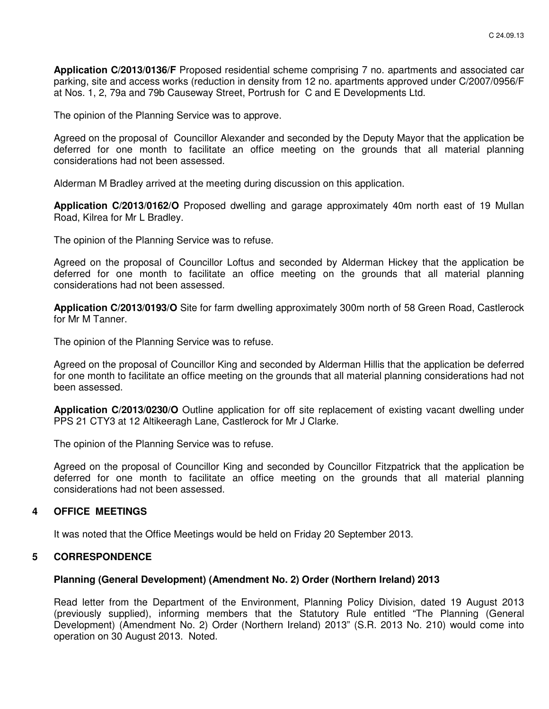**Application C/2013/0136/F** Proposed residential scheme comprising 7 no. apartments and associated car parking, site and access works (reduction in density from 12 no. apartments approved under C/2007/0956/F at Nos. 1, 2, 79a and 79b Causeway Street, Portrush for C and E Developments Ltd.

The opinion of the Planning Service was to approve.

Agreed on the proposal of Councillor Alexander and seconded by the Deputy Mayor that the application be deferred for one month to facilitate an office meeting on the grounds that all material planning considerations had not been assessed.

Alderman M Bradley arrived at the meeting during discussion on this application.

**Application C/2013/0162/O** Proposed dwelling and garage approximately 40m north east of 19 Mullan Road, Kilrea for Mr L Bradley.

The opinion of the Planning Service was to refuse.

Agreed on the proposal of Councillor Loftus and seconded by Alderman Hickey that the application be deferred for one month to facilitate an office meeting on the grounds that all material planning considerations had not been assessed.

**Application C/2013/0193/O** Site for farm dwelling approximately 300m north of 58 Green Road, Castlerock for Mr M Tanner.

The opinion of the Planning Service was to refuse.

Agreed on the proposal of Councillor King and seconded by Alderman Hillis that the application be deferred for one month to facilitate an office meeting on the grounds that all material planning considerations had not been assessed.

**Application C/2013/0230/O** Outline application for off site replacement of existing vacant dwelling under PPS 21 CTY3 at 12 Altikeeragh Lane, Castlerock for Mr J Clarke.

The opinion of the Planning Service was to refuse.

Agreed on the proposal of Councillor King and seconded by Councillor Fitzpatrick that the application be deferred for one month to facilitate an office meeting on the grounds that all material planning considerations had not been assessed.

#### **4 OFFICE MEETINGS**

It was noted that the Office Meetings would be held on Friday 20 September 2013.

## **5 CORRESPONDENCE**

#### **Planning (General Development) (Amendment No. 2) Order (Northern Ireland) 2013**

Read letter from the Department of the Environment, Planning Policy Division, dated 19 August 2013 (previously supplied), informing members that the Statutory Rule entitled "The Planning (General Development) (Amendment No. 2) Order (Northern Ireland) 2013" (S.R. 2013 No. 210) would come into operation on 30 August 2013. Noted.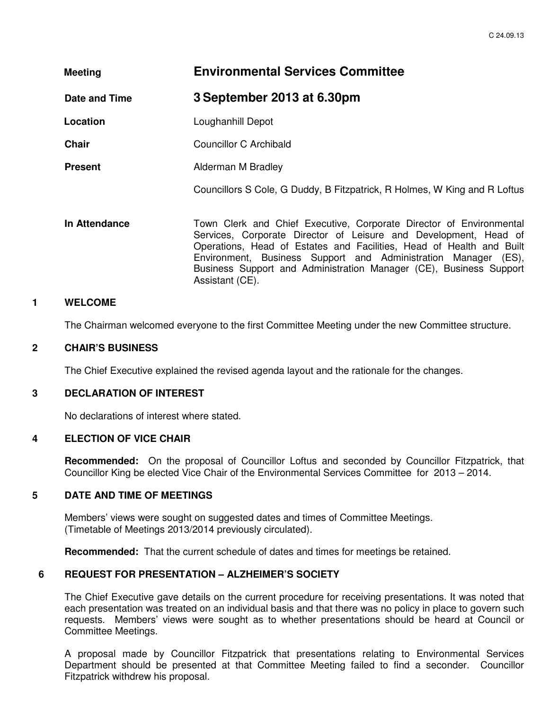| <b>Meeting</b> | <b>Environmental Services Committee</b>                                                                                                                                                                                                                                                                                                                 |  |
|----------------|---------------------------------------------------------------------------------------------------------------------------------------------------------------------------------------------------------------------------------------------------------------------------------------------------------------------------------------------------------|--|
| Date and Time  | 3 September 2013 at 6.30pm                                                                                                                                                                                                                                                                                                                              |  |
| Location       | Loughanhill Depot                                                                                                                                                                                                                                                                                                                                       |  |
| <b>Chair</b>   | Councillor C Archibald                                                                                                                                                                                                                                                                                                                                  |  |
| <b>Present</b> | Alderman M Bradley                                                                                                                                                                                                                                                                                                                                      |  |
|                | Councillors S Cole, G Duddy, B Fitzpatrick, R Holmes, W King and R Loftus                                                                                                                                                                                                                                                                               |  |
| In Attendance  | Town Clerk and Chief Executive, Corporate Director of Environmental<br>Services, Corporate Director of Leisure and Development, Head of<br>Operations, Head of Estates and Facilities, Head of Health and Built<br>Environment, Business Support and Administration Manager (ES),<br>Business Support and Administration Manager (CE), Business Support |  |

#### **1 WELCOME**

The Chairman welcomed everyone to the first Committee Meeting under the new Committee structure.

#### **2 CHAIR'S BUSINESS**

The Chief Executive explained the revised agenda layout and the rationale for the changes.

Assistant (CE).

#### **3 DECLARATION OF INTEREST**

No declarations of interest where stated.

#### **4 ELECTION OF VICE CHAIR**

**Recommended:** On the proposal of Councillor Loftus and seconded by Councillor Fitzpatrick, that Councillor King be elected Vice Chair of the Environmental Services Committee for 2013 – 2014.

#### **5 DATE AND TIME OF MEETINGS**

Members' views were sought on suggested dates and times of Committee Meetings. (Timetable of Meetings 2013/2014 previously circulated).

**Recommended:** That the current schedule of dates and times for meetings be retained.

#### **6 REQUEST FOR PRESENTATION – ALZHEIMER'S SOCIETY**

The Chief Executive gave details on the current procedure for receiving presentations. It was noted that each presentation was treated on an individual basis and that there was no policy in place to govern such requests. Members' views were sought as to whether presentations should be heard at Council or Committee Meetings.

A proposal made by Councillor Fitzpatrick that presentations relating to Environmental Services Department should be presented at that Committee Meeting failed to find a seconder. Councillor Fitzpatrick withdrew his proposal.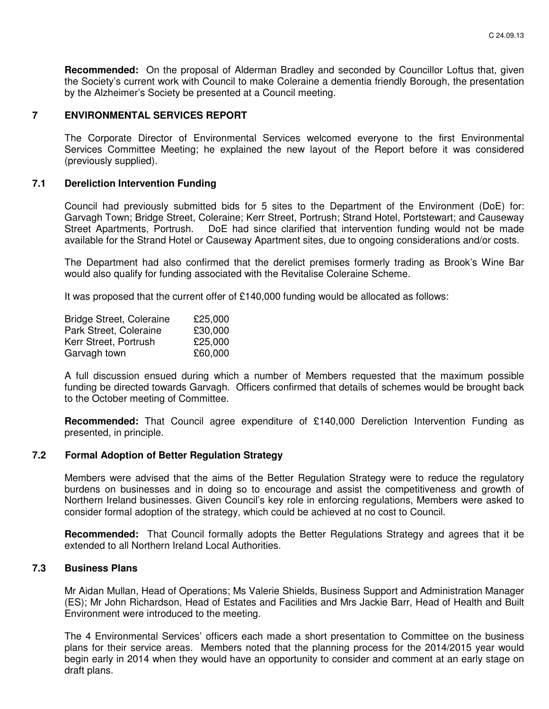**Recommended:** On the proposal of Alderman Bradley and seconded by Councillor Loftus that, given the Society's current work with Council to make Coleraine a dementia friendly Borough, the presentation by the Alzheimer's Society be presented at a Council meeting.

# **7 ENVIRONMENTAL SERVICES REPORT**

The Corporate Director of Environmental Services welcomed everyone to the first Environmental Services Committee Meeting; he explained the new layout of the Report before it was considered (previously supplied).

## **7.1 Dereliction Intervention Funding**

Council had previously submitted bids for 5 sites to the Department of the Environment (DoE) for: Garvagh Town; Bridge Street, Coleraine; Kerr Street, Portrush; Strand Hotel, Portstewart; and Causeway Street Apartments, Portrush. DoE had since clarified that intervention funding would not be made available for the Strand Hotel or Causeway Apartment sites, due to ongoing considerations and/or costs.

The Department had also confirmed that the derelict premises formerly trading as Brook's Wine Bar would also qualify for funding associated with the Revitalise Coleraine Scheme.

It was proposed that the current offer of £140,000 funding would be allocated as follows:

| <b>Bridge Street, Coleraine</b> | £25,000 |
|---------------------------------|---------|
| Park Street, Coleraine          | £30,000 |
| Kerr Street, Portrush           | £25,000 |
| Garvagh town                    | £60,000 |

A full discussion ensued during which a number of Members requested that the maximum possible funding be directed towards Garvagh. Officers confirmed that details of schemes would be brought back to the October meeting of Committee.

**Recommended:** That Council agree expenditure of £140,000 Dereliction Intervention Funding as presented, in principle.

## **7.2 Formal Adoption of Better Regulation Strategy**

Members were advised that the aims of the Better Regulation Strategy were to reduce the regulatory burdens on businesses and in doing so to encourage and assist the competitiveness and growth of Northern Ireland businesses. Given Council's key role in enforcing regulations, Members were asked to consider formal adoption of the strategy, which could be achieved at no cost to Council.

**Recommended:** That Council formally adopts the Better Regulations Strategy and agrees that it be extended to all Northern Ireland Local Authorities.

## **7.3 Business Plans**

Mr Aidan Mullan, Head of Operations; Ms Valerie Shields, Business Support and Administration Manager (ES); Mr John Richardson, Head of Estates and Facilities and Mrs Jackie Barr, Head of Health and Built Environment were introduced to the meeting.

The 4 Environmental Services' officers each made a short presentation to Committee on the business plans for their service areas. Members noted that the planning process for the 2014/2015 year would begin early in 2014 when they would have an opportunity to consider and comment at an early stage on draft plans.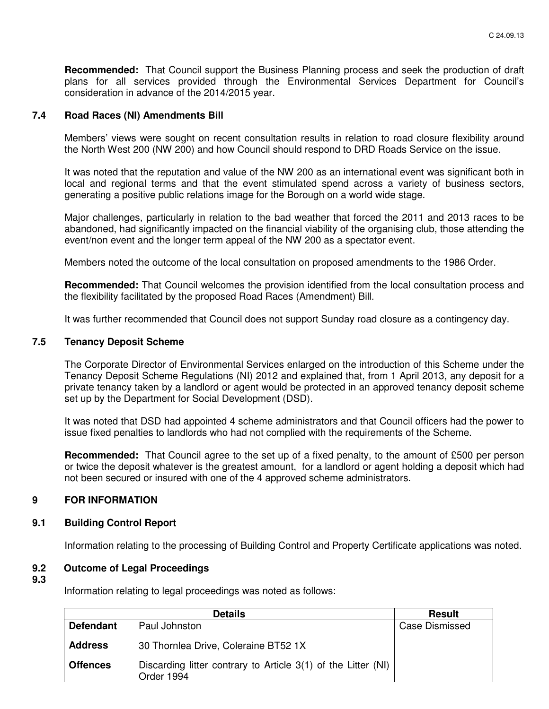**Recommended:** That Council support the Business Planning process and seek the production of draft plans for all services provided through the Environmental Services Department for Council's consideration in advance of the 2014/2015 year.

## **7.4 Road Races (NI) Amendments Bill**

Members' views were sought on recent consultation results in relation to road closure flexibility around the North West 200 (NW 200) and how Council should respond to DRD Roads Service on the issue.

It was noted that the reputation and value of the NW 200 as an international event was significant both in local and regional terms and that the event stimulated spend across a variety of business sectors, generating a positive public relations image for the Borough on a world wide stage.

Major challenges, particularly in relation to the bad weather that forced the 2011 and 2013 races to be abandoned, had significantly impacted on the financial viability of the organising club, those attending the event/non event and the longer term appeal of the NW 200 as a spectator event.

Members noted the outcome of the local consultation on proposed amendments to the 1986 Order.

**Recommended:** That Council welcomes the provision identified from the local consultation process and the flexibility facilitated by the proposed Road Races (Amendment) Bill.

It was further recommended that Council does not support Sunday road closure as a contingency day.

#### **7.5 Tenancy Deposit Scheme**

The Corporate Director of Environmental Services enlarged on the introduction of this Scheme under the Tenancy Deposit Scheme Regulations (NI) 2012 and explained that, from 1 April 2013, any deposit for a private tenancy taken by a landlord or agent would be protected in an approved tenancy deposit scheme set up by the Department for Social Development (DSD).

It was noted that DSD had appointed 4 scheme administrators and that Council officers had the power to issue fixed penalties to landlords who had not complied with the requirements of the Scheme.

**Recommended:** That Council agree to the set up of a fixed penalty, to the amount of £500 per person or twice the deposit whatever is the greatest amount, for a landlord or agent holding a deposit which had not been secured or insured with one of the 4 approved scheme administrators.

## **9 FOR INFORMATION**

#### **9.1 Building Control Report**

Information relating to the processing of Building Control and Property Certificate applications was noted.

## **9.2 Outcome of Legal Proceedings**

**9.3** 

Information relating to legal proceedings was noted as follows:

|                  | <b>Details</b>                                                              | <b>Result</b>         |
|------------------|-----------------------------------------------------------------------------|-----------------------|
| <b>Defendant</b> | Paul Johnston                                                               | <b>Case Dismissed</b> |
| <b>Address</b>   | 30 Thornlea Drive, Coleraine BT52 1X                                        |                       |
| <b>Offences</b>  | Discarding litter contrary to Article 3(1) of the Litter (NI)<br>Order 1994 |                       |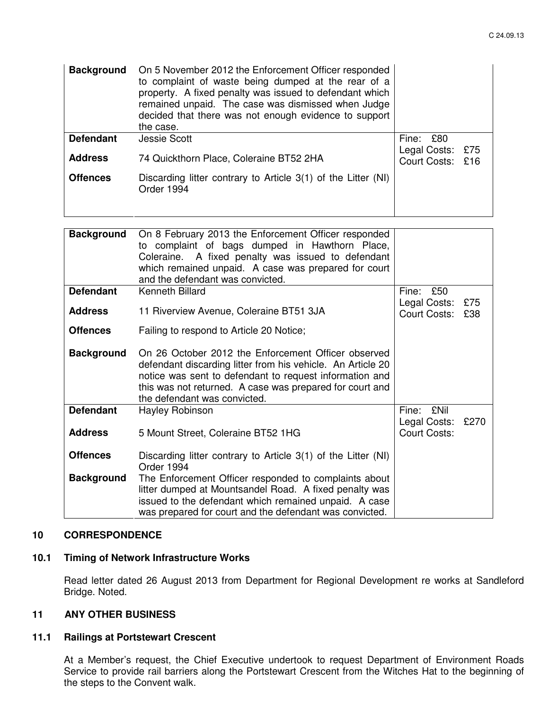| <b>Background</b> | On 5 November 2012 the Enforcement Officer responded<br>to complaint of waste being dumped at the rear of a<br>property. A fixed penalty was issued to defendant which<br>remained unpaid. The case was dismissed when Judge<br>decided that there was not enough evidence to support<br>the case. |                                      |  |
|-------------------|----------------------------------------------------------------------------------------------------------------------------------------------------------------------------------------------------------------------------------------------------------------------------------------------------|--------------------------------------|--|
| <b>Defendant</b>  | <b>Jessie Scott</b>                                                                                                                                                                                                                                                                                | Fine: £80                            |  |
| <b>Address</b>    | 74 Quickthorn Place, Coleraine BT52 2HA                                                                                                                                                                                                                                                            | Legal Costs: £75<br>Court Costs: £16 |  |
| <b>Offences</b>   | Discarding litter contrary to Article 3(1) of the Litter (NI)<br>Order 1994                                                                                                                                                                                                                        |                                      |  |

| <b>Background</b> | On 8 February 2013 the Enforcement Officer responded<br>to complaint of bags dumped in Hawthorn Place,<br>Coleraine. A fixed penalty was issued to defendant<br>which remained unpaid. A case was prepared for court<br>and the defendant was convicted.                  |                                     |            |
|-------------------|---------------------------------------------------------------------------------------------------------------------------------------------------------------------------------------------------------------------------------------------------------------------------|-------------------------------------|------------|
| <b>Defendant</b>  | <b>Kenneth Billard</b>                                                                                                                                                                                                                                                    | Fine:<br>£50                        |            |
| <b>Address</b>    | 11 Riverview Avenue, Coleraine BT51 3JA                                                                                                                                                                                                                                   | Legal Costs:<br>Court Costs:        | £75<br>£38 |
| <b>Offences</b>   | Failing to respond to Article 20 Notice;                                                                                                                                                                                                                                  |                                     |            |
| <b>Background</b> | On 26 October 2012 the Enforcement Officer observed<br>defendant discarding litter from his vehicle. An Article 20<br>notice was sent to defendant to request information and<br>this was not returned. A case was prepared for court and<br>the defendant was convicted. |                                     |            |
| <b>Defendant</b>  | Hayley Robinson                                                                                                                                                                                                                                                           | <b>£Nil</b><br>Fine:                |            |
| <b>Address</b>    | 5 Mount Street, Coleraine BT52 1HG                                                                                                                                                                                                                                        | Legal Costs:<br><b>Court Costs:</b> | £270       |
| <b>Offences</b>   | Discarding litter contrary to Article 3(1) of the Litter (NI)<br>Order 1994                                                                                                                                                                                               |                                     |            |
| <b>Background</b> | The Enforcement Officer responded to complaints about<br>litter dumped at Mountsandel Road. A fixed penalty was<br>issued to the defendant which remained unpaid. A case<br>was prepared for court and the defendant was convicted.                                       |                                     |            |

## **10 CORRESPONDENCE**

## **10.1 Timing of Network Infrastructure Works**

Read letter dated 26 August 2013 from Department for Regional Development re works at Sandleford Bridge. Noted.

# **11 ANY OTHER BUSINESS**

# **11.1 Railings at Portstewart Crescent**

At a Member's request, the Chief Executive undertook to request Department of Environment Roads Service to provide rail barriers along the Portstewart Crescent from the Witches Hat to the beginning of the steps to the Convent walk.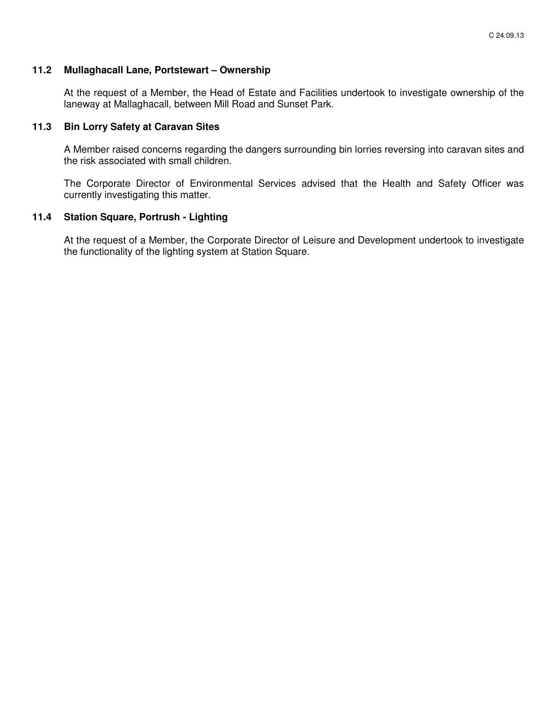## **11.2 Mullaghacall Lane, Portstewart – Ownership**

At the request of a Member, the Head of Estate and Facilities undertook to investigate ownership of the laneway at Mallaghacall, between Mill Road and Sunset Park.

#### **11.3 Bin Lorry Safety at Caravan Sites**

A Member raised concerns regarding the dangers surrounding bin lorries reversing into caravan sites and the risk associated with small children.

The Corporate Director of Environmental Services advised that the Health and Safety Officer was currently investigating this matter.

## **11.4 Station Square, Portrush - Lighting**

At the request of a Member, the Corporate Director of Leisure and Development undertook to investigate the functionality of the lighting system at Station Square.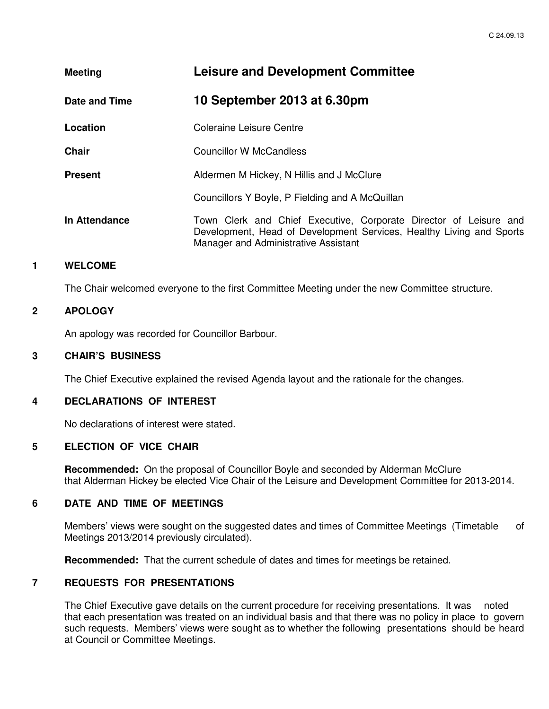| <b>Meeting</b> | <b>Leisure and Development Committee</b>                                                                                                                                          |
|----------------|-----------------------------------------------------------------------------------------------------------------------------------------------------------------------------------|
| Date and Time  | 10 September 2013 at 6.30pm                                                                                                                                                       |
| Location       | Coleraine Leisure Centre                                                                                                                                                          |
| <b>Chair</b>   | Councillor W McCandless                                                                                                                                                           |
| <b>Present</b> | Aldermen M Hickey, N Hillis and J McClure                                                                                                                                         |
|                | Councillors Y Boyle, P Fielding and A McQuillan                                                                                                                                   |
| In Attendance  | Town Clerk and Chief Executive, Corporate Director of Leisure and<br>Development, Head of Development Services, Healthy Living and Sports<br>Manager and Administrative Assistant |

# **1 WELCOME**

The Chair welcomed everyone to the first Committee Meeting under the new Committee structure.

## **2 APOLOGY**

An apology was recorded for Councillor Barbour.

### **3 CHAIR'S BUSINESS**

The Chief Executive explained the revised Agenda layout and the rationale for the changes.

# **4 DECLARATIONS OF INTEREST**

No declarations of interest were stated.

#### **5 ELECTION OF VICE CHAIR**

**Recommended:** On the proposal of Councillor Boyle and seconded by Alderman McClure that Alderman Hickey be elected Vice Chair of the Leisure and Development Committee for 2013-2014.

## **6 DATE AND TIME OF MEETINGS**

Members' views were sought on the suggested dates and times of Committee Meetings (Timetable of Meetings 2013/2014 previously circulated).

**Recommended:** That the current schedule of dates and times for meetings be retained.

# **7 REQUESTS FOR PRESENTATIONS**

The Chief Executive gave details on the current procedure for receiving presentations. It was noted that each presentation was treated on an individual basis and that there was no policy in place to govern such requests. Members' views were sought as to whether the following presentations should be heard at Council or Committee Meetings.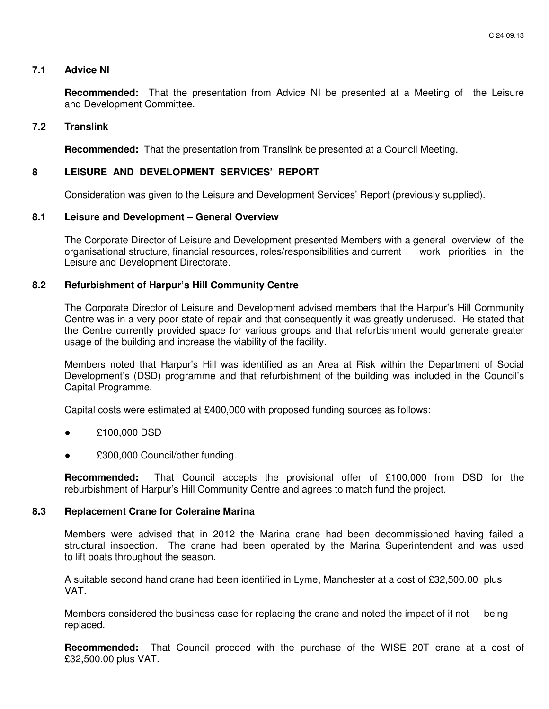## **7.1 Advice NI**

 **Recommended:** That the presentation from Advice NI be presented at a Meeting of the Leisure and Development Committee.

#### **7.2 Translink**

 **Recommended:** That the presentation from Translink be presented at a Council Meeting.

## **8 LEISURE AND DEVELOPMENT SERVICES' REPORT**

Consideration was given to the Leisure and Development Services' Report (previously supplied).

## **8.1 Leisure and Development – General Overview**

 The Corporate Director of Leisure and Development presented Members with a general overview of the organisational structure, financial resources, roles/responsibilities and current work priorities in the Leisure and Development Directorate.

## **8.2 Refurbishment of Harpur's Hill Community Centre**

The Corporate Director of Leisure and Development advised members that the Harpur's Hill Community Centre was in a very poor state of repair and that consequently it was greatly underused. He stated that the Centre currently provided space for various groups and that refurbishment would generate greater usage of the building and increase the viability of the facility.

Members noted that Harpur's Hill was identified as an Area at Risk within the Department of Social Development's (DSD) programme and that refurbishment of the building was included in the Council's Capital Programme.

Capital costs were estimated at £400,000 with proposed funding sources as follows:

- £100,000 DSD
- £300,000 Council/other funding.

**Recommended:** That Council accepts the provisional offer of £100,000 from DSD for the reburbishment of Harpur's Hill Community Centre and agrees to match fund the project.

#### **8.3 Replacement Crane for Coleraine Marina**

Members were advised that in 2012 the Marina crane had been decommissioned having failed a structural inspection. The crane had been operated by the Marina Superintendent and was used to lift boats throughout the season.

 A suitable second hand crane had been identified in Lyme, Manchester at a cost of £32,500.00 plus VAT.

 Members considered the business case for replacing the crane and noted the impact of it not being replaced.

**Recommended:** That Council proceed with the purchase of the WISE 20T crane at a cost of £32,500.00 plus VAT.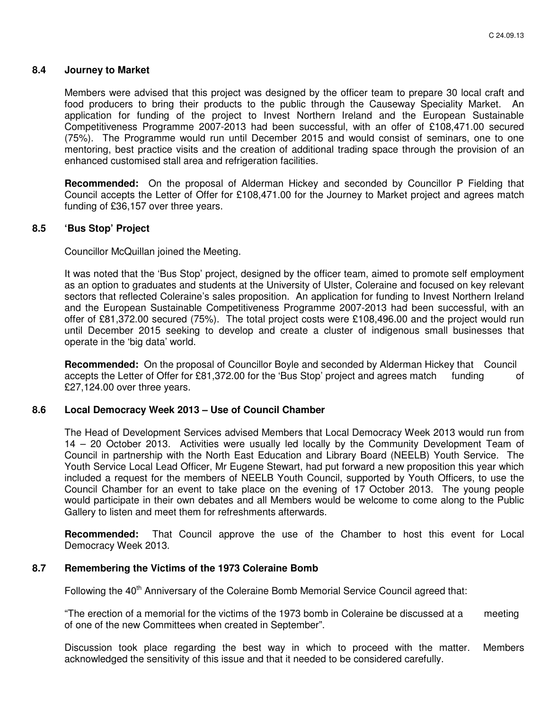#### **8.4 Journey to Market**

Members were advised that this project was designed by the officer team to prepare 30 local craft and food producers to bring their products to the public through the Causeway Speciality Market. An application for funding of the project to Invest Northern Ireland and the European Sustainable Competitiveness Programme 2007-2013 had been successful, with an offer of £108,471.00 secured (75%). The Programme would run until December 2015 and would consist of seminars, one to one mentoring, best practice visits and the creation of additional trading space through the provision of an enhanced customised stall area and refrigeration facilities.

**Recommended:** On the proposal of Alderman Hickey and seconded by Councillor P Fielding that Council accepts the Letter of Offer for £108,471.00 for the Journey to Market project and agrees match funding of £36,157 over three years.

#### **8.5 'Bus Stop' Project**

Councillor McQuillan joined the Meeting.

It was noted that the 'Bus Stop' project, designed by the officer team, aimed to promote self employment as an option to graduates and students at the University of Ulster, Coleraine and focused on key relevant sectors that reflected Coleraine's sales proposition. An application for funding to Invest Northern Ireland and the European Sustainable Competitiveness Programme 2007-2013 had been successful, with an offer of £81,372.00 secured (75%). The total project costs were £108,496.00 and the project would run until December 2015 seeking to develop and create a cluster of indigenous small businesses that operate in the 'big data' world.

**Recommended:** On the proposal of Councillor Boyle and seconded by Alderman Hickey that Council accepts the Letter of Offer for £81,372.00 for the 'Bus Stop' project and agrees match funding of £27,124.00 over three years.

#### **8.6 Local Democracy Week 2013 – Use of Council Chamber**

The Head of Development Services advised Members that Local Democracy Week 2013 would run from 14 – 20 October 2013. Activities were usually led locally by the Community Development Team of Council in partnership with the North East Education and Library Board (NEELB) Youth Service. The Youth Service Local Lead Officer, Mr Eugene Stewart, had put forward a new proposition this year which included a request for the members of NEELB Youth Council, supported by Youth Officers, to use the Council Chamber for an event to take place on the evening of 17 October 2013. The young people would participate in their own debates and all Members would be welcome to come along to the Public Gallery to listen and meet them for refreshments afterwards.

**Recommended:** That Council approve the use of the Chamber to host this event for Local Democracy Week 2013.

#### **8.7 Remembering the Victims of the 1973 Coleraine Bomb**

Following the 40<sup>th</sup> Anniversary of the Coleraine Bomb Memorial Service Council agreed that:

 "The erection of a memorial for the victims of the 1973 bomb in Coleraine be discussed at a meeting of one of the new Committees when created in September".

 Discussion took place regarding the best way in which to proceed with the matter. Members acknowledged the sensitivity of this issue and that it needed to be considered carefully.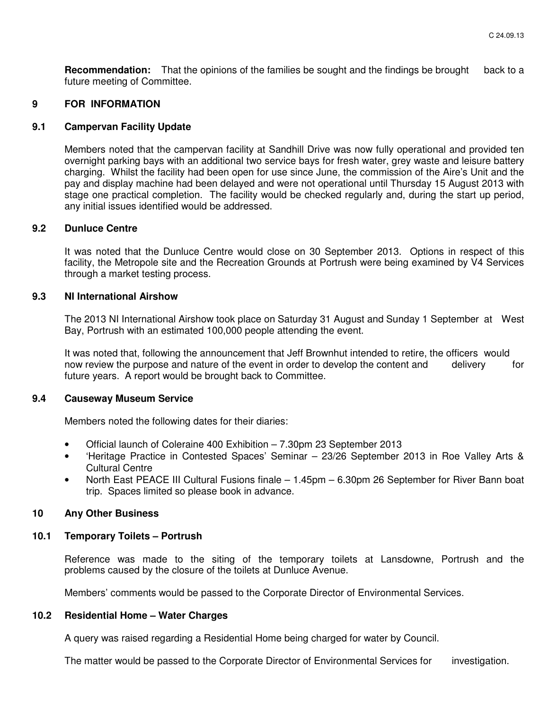**Recommendation:** That the opinions of the families be sought and the findings be brought back to a future meeting of Committee.

### **9 FOR INFORMATION**

#### **9.1 Campervan Facility Update**

Members noted that the campervan facility at Sandhill Drive was now fully operational and provided ten overnight parking bays with an additional two service bays for fresh water, grey waste and leisure battery charging. Whilst the facility had been open for use since June, the commission of the Aire's Unit and the pay and display machine had been delayed and were not operational until Thursday 15 August 2013 with stage one practical completion. The facility would be checked regularly and, during the start up period, any initial issues identified would be addressed.

#### **9.2 Dunluce Centre**

It was noted that the Dunluce Centre would close on 30 September 2013. Options in respect of this facility, the Metropole site and the Recreation Grounds at Portrush were being examined by V4 Services through a market testing process.

#### **9.3 NI International Airshow**

The 2013 NI International Airshow took place on Saturday 31 August and Sunday 1 September at West Bay, Portrush with an estimated 100,000 people attending the event.

It was noted that, following the announcement that Jeff Brownhut intended to retire, the officers would now review the purpose and nature of the event in order to develop the content and delivery for future years. A report would be brought back to Committee.

#### **9.4 Causeway Museum Service**

Members noted the following dates for their diaries:

- Official launch of Coleraine 400 Exhibition 7.30pm 23 September 2013
- 'Heritage Practice in Contested Spaces' Seminar 23/26 September 2013 in Roe Valley Arts & Cultural Centre
- North East PEACE III Cultural Fusions finale 1.45pm 6.30pm 26 September for River Bann boat trip. Spaces limited so please book in advance.

#### **10 Any Other Business**

#### **10.1 Temporary Toilets – Portrush**

Reference was made to the siting of the temporary toilets at Lansdowne, Portrush and the problems caused by the closure of the toilets at Dunluce Avenue.

Members' comments would be passed to the Corporate Director of Environmental Services.

#### **10.2 Residential Home – Water Charges**

A query was raised regarding a Residential Home being charged for water by Council.

The matter would be passed to the Corporate Director of Environmental Services for investigation.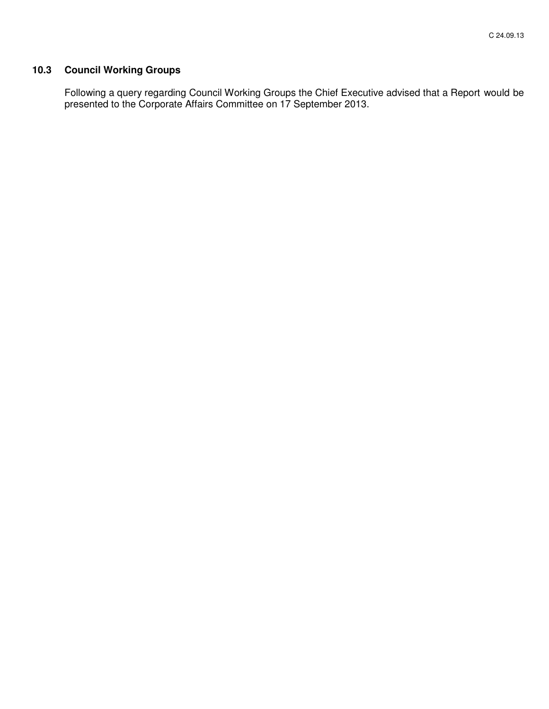# **10.3 Council Working Groups**

 Following a query regarding Council Working Groups the Chief Executive advised that a Report would be presented to the Corporate Affairs Committee on 17 September 2013.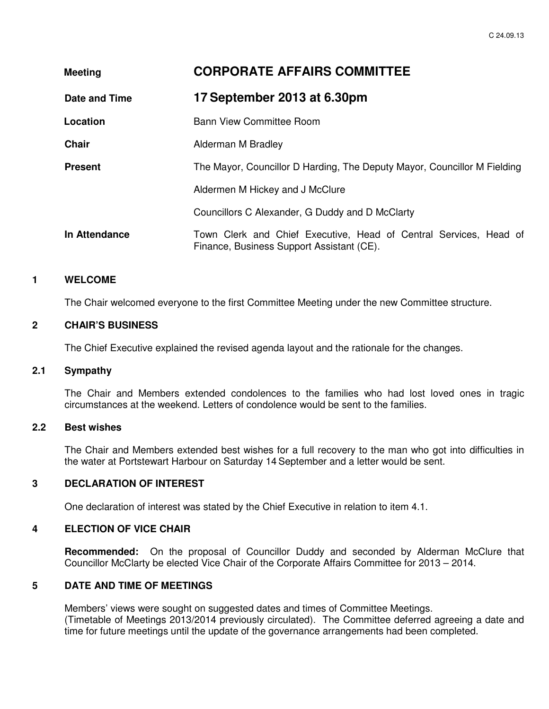| <b>Meeting</b> | <b>CORPORATE AFFAIRS COMMITTEE</b>                                                                             |
|----------------|----------------------------------------------------------------------------------------------------------------|
| Date and Time  | 17 September 2013 at 6.30pm                                                                                    |
| Location       | <b>Bann View Committee Room</b>                                                                                |
| <b>Chair</b>   | Alderman M Bradley                                                                                             |
| <b>Present</b> | The Mayor, Councillor D Harding, The Deputy Mayor, Councillor M Fielding                                       |
|                | Aldermen M Hickey and J McClure                                                                                |
|                | Councillors C Alexander, G Duddy and D McClarty                                                                |
| In Attendance  | Town Clerk and Chief Executive, Head of Central Services, Head of<br>Finance, Business Support Assistant (CE). |

#### **1 WELCOME**

The Chair welcomed everyone to the first Committee Meeting under the new Committee structure.

#### **2 CHAIR'S BUSINESS**

The Chief Executive explained the revised agenda layout and the rationale for the changes.

## **2.1 Sympathy**

The Chair and Members extended condolences to the families who had lost loved ones in tragic circumstances at the weekend. Letters of condolence would be sent to the families.

#### **2.2 Best wishes**

The Chair and Members extended best wishes for a full recovery to the man who got into difficulties in the water at Portstewart Harbour on Saturday 14 September and a letter would be sent.

## **3 DECLARATION OF INTEREST**

One declaration of interest was stated by the Chief Executive in relation to item 4.1.

# **4 ELECTION OF VICE CHAIR**

**Recommended:** On the proposal of Councillor Duddy and seconded by Alderman McClure that Councillor McClarty be elected Vice Chair of the Corporate Affairs Committee for 2013 – 2014.

## **5 DATE AND TIME OF MEETINGS**

Members' views were sought on suggested dates and times of Committee Meetings. (Timetable of Meetings 2013/2014 previously circulated). The Committee deferred agreeing a date and time for future meetings until the update of the governance arrangements had been completed.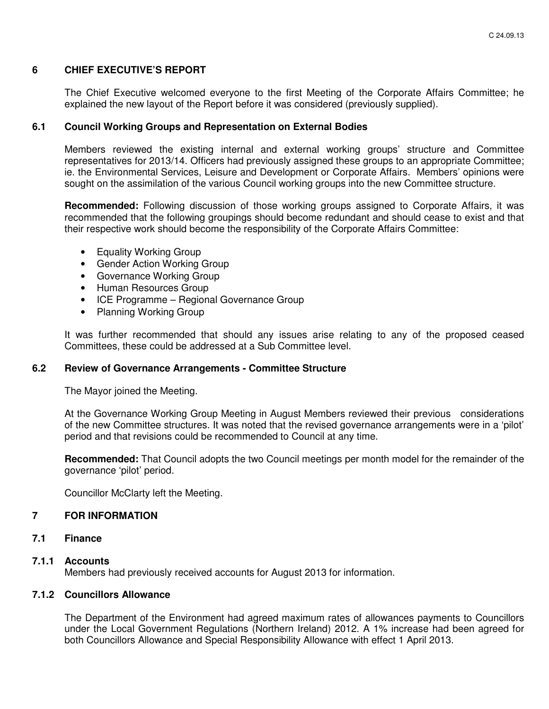### **6 CHIEF EXECUTIVE'S REPORT**

The Chief Executive welcomed everyone to the first Meeting of the Corporate Affairs Committee; he explained the new layout of the Report before it was considered (previously supplied).

#### **6.1 Council Working Groups and Representation on External Bodies**

Members reviewed the existing internal and external working groups' structure and Committee representatives for 2013/14. Officers had previously assigned these groups to an appropriate Committee; ie. the Environmental Services, Leisure and Development or Corporate Affairs. Members' opinions were sought on the assimilation of the various Council working groups into the new Committee structure.

**Recommended:** Following discussion of those working groups assigned to Corporate Affairs, it was recommended that the following groupings should become redundant and should cease to exist and that their respective work should become the responsibility of the Corporate Affairs Committee:

- Equality Working Group
- Gender Action Working Group
- Governance Working Group
- Human Resources Group
- ICE Programme Regional Governance Group
- Planning Working Group

It was further recommended that should any issues arise relating to any of the proposed ceased Committees, these could be addressed at a Sub Committee level.

## **6.2 Review of Governance Arrangements - Committee Structure**

The Mayor joined the Meeting.

At the Governance Working Group Meeting in August Members reviewed their previous considerations of the new Committee structures. It was noted that the revised governance arrangements were in a 'pilot' period and that revisions could be recommended to Council at any time.

**Recommended:** That Council adopts the two Council meetings per month model for the remainder of the governance 'pilot' period.

Councillor McClarty left the Meeting.

#### **7 FOR INFORMATION**

**7.1 Finance** 

#### **7.1.1 Accounts**

Members had previously received accounts for August 2013 for information.

#### **7.1.2 Councillors Allowance**

The Department of the Environment had agreed maximum rates of allowances payments to Councillors under the Local Government Regulations (Northern Ireland) 2012. A 1% increase had been agreed for both Councillors Allowance and Special Responsibility Allowance with effect 1 April 2013.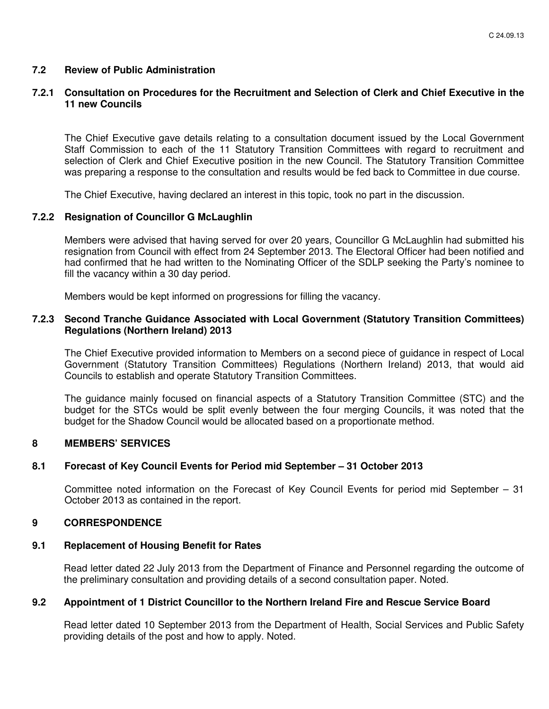## **7.2 Review of Public Administration**

## **7.2.1 Consultation on Procedures for the Recruitment and Selection of Clerk and Chief Executive in the 11 new Councils**

The Chief Executive gave details relating to a consultation document issued by the Local Government Staff Commission to each of the 11 Statutory Transition Committees with regard to recruitment and selection of Clerk and Chief Executive position in the new Council. The Statutory Transition Committee was preparing a response to the consultation and results would be fed back to Committee in due course.

The Chief Executive, having declared an interest in this topic, took no part in the discussion.

#### **7.2.2 Resignation of Councillor G McLaughlin**

 Members were advised that having served for over 20 years, Councillor G McLaughlin had submitted his resignation from Council with effect from 24 September 2013. The Electoral Officer had been notified and had confirmed that he had written to the Nominating Officer of the SDLP seeking the Party's nominee to fill the vacancy within a 30 day period.

Members would be kept informed on progressions for filling the vacancy.

### **7.2.3 Second Tranche Guidance Associated with Local Government (Statutory Transition Committees) Regulations (Northern Ireland) 2013**

 The Chief Executive provided information to Members on a second piece of guidance in respect of Local Government (Statutory Transition Committees) Regulations (Northern Ireland) 2013, that would aid Councils to establish and operate Statutory Transition Committees.

The guidance mainly focused on financial aspects of a Statutory Transition Committee (STC) and the budget for the STCs would be split evenly between the four merging Councils, it was noted that the budget for the Shadow Council would be allocated based on a proportionate method.

#### **8 MEMBERS' SERVICES**

#### **8.1 Forecast of Key Council Events for Period mid September – 31 October 2013**

 Committee noted information on the Forecast of Key Council Events for period mid September – 31 October 2013 as contained in the report.

#### **9 CORRESPONDENCE**

#### **9.1 Replacement of Housing Benefit for Rates**

 Read letter dated 22 July 2013 from the Department of Finance and Personnel regarding the outcome of the preliminary consultation and providing details of a second consultation paper. Noted.

## **9.2 Appointment of 1 District Councillor to the Northern Ireland Fire and Rescue Service Board**

 Read letter dated 10 September 2013 from the Department of Health, Social Services and Public Safety providing details of the post and how to apply. Noted.